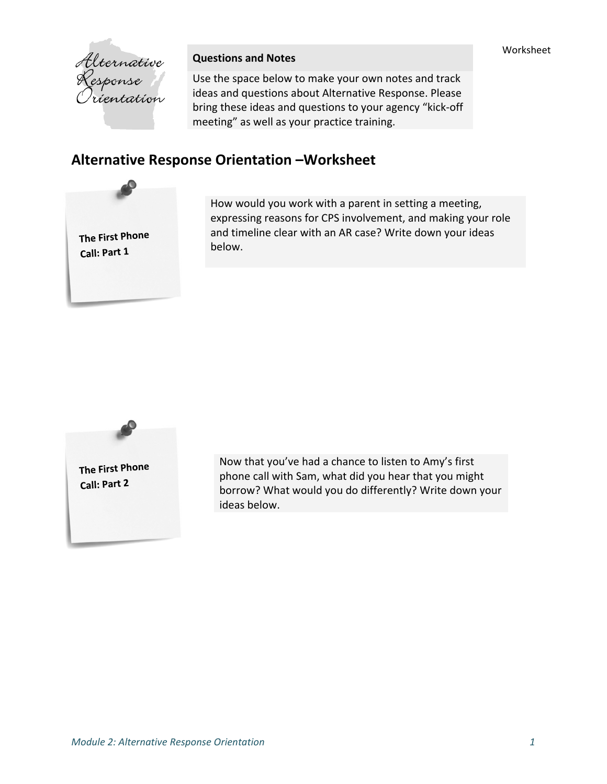

## **Questions and Notes**

Use the space below to make your own notes and track ideas and questions about Alternative Response. Please bring these ideas and questions to your agency "kick‐off meeting" as well as your practice training.

## **Alternative Response Orientation –Worksheet**



How would you work with a parent in setting a meeting, expressing reasons for CPS involvement, and making your role and timeline clear with an AR case? Write down your ideas below.



Now that you've had a chance to listen to Amy's first phone call with Sam, what did you hear that you might borrow? What would you do differently? Write down your ideas below.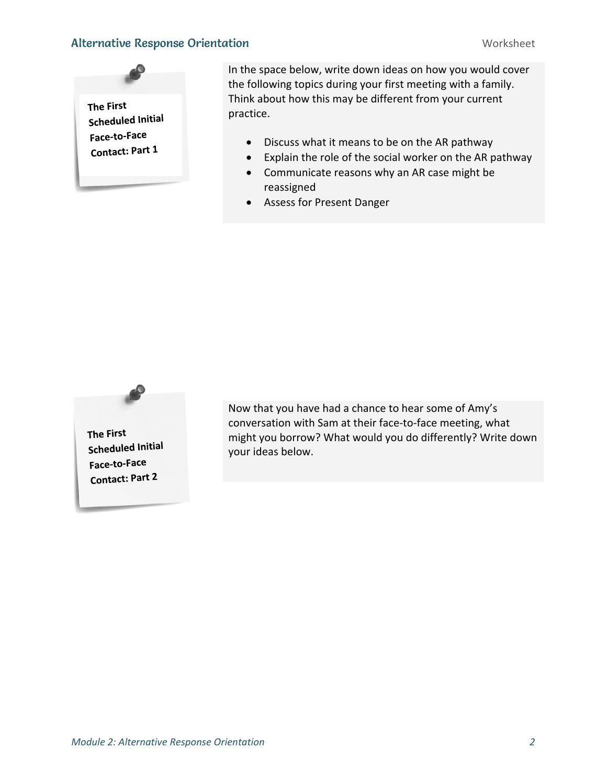## Alternative Response Orientation Number of the Montester Worksheet



In the space below, write down ideas on how you would cover the following topics during your first meeting with a family. Think about how this may be different from your current practice.

- Discuss what it means to be on the AR pathway
- Explain the role of the social worker on the AR pathway
- Communicate reasons why an AR case might be reassigned
- Assess for Present Danger



Now that you have had a chance to hear some of Amy's conversation with Sam at their face‐to‐face meeting, what might you borrow? What would you do differently? Write down your ideas below.